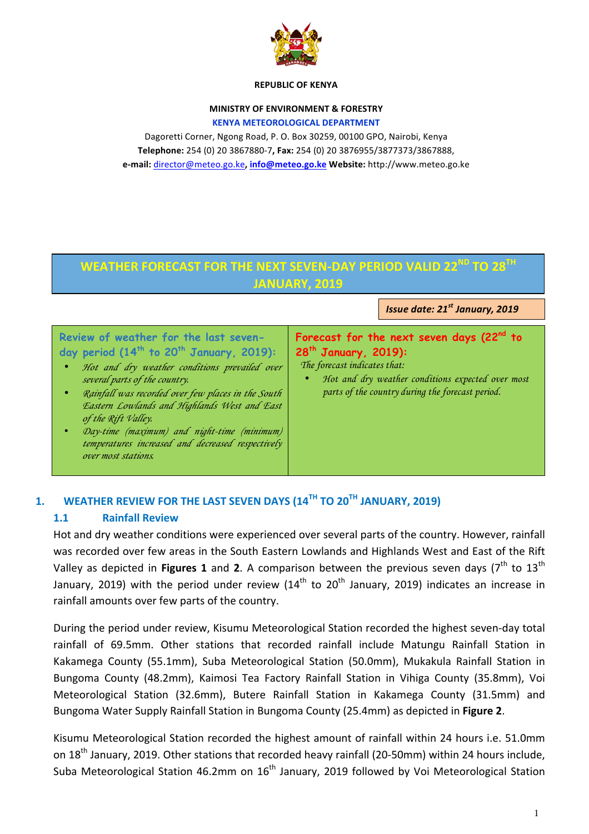

#### **REPUBLIC OF KENYA**

#### **MINISTRY OF ENVIRONMENT & FORESTRY KENYA METEOROLOGICAL DEPARTMENT**

Dagoretti Corner, Ngong Road, P. O. Box 30259, 00100 GPO, Nairobi, Kenya **Telephone:** 254 (0) 20 3867880-7**, Fax:** 254 (0) 20 3876955/3877373/3867888, **e-mail:** director@meteo.go.ke**, info@meteo.go.ke Website:** http://www.meteo.go.ke

# **WEATHER FORECAST FOR THE NEXT SEVEN-DAY PERIOD VALID 22ND TO 28TH JANUARY, 2019**

*Issue date: 21st January, 2019*

#### **Review of weather for the last sevenday period (14th to 20th January, 2019):**

- *Hot and dry weather conditions prevailed over several parts of the country.*
- *Rainfall was recorded over few places in the South Eastern Lowlands and Highlands West and East of the Rift Valley.*
- *Day-time (maximum) and night-time (minimum) temperatures increased and decreased respectively over most stations.*

# **Forecast for the next seven days (22nd to 28th January, 2019):**

*The forecast indicates that:* 

• *Hot and dry weather conditions expected over most parts of the country during the forecast period.*

## 1. **WEATHER REVIEW FOR THE LAST SEVEN DAYS (14<sup>TH</sup> TO 20<sup>TH</sup> JANUARY, 2019)**

### **1.1 Rainfall Review**

Hot and dry weather conditions were experienced over several parts of the country. However, rainfall was recorded over few areas in the South Eastern Lowlands and Highlands West and East of the Rift Valley as depicted in **Figures 1** and 2. A comparison between the previous seven days ( $7<sup>th</sup>$  to 13<sup>th</sup>) January, 2019) with the period under review ( $14<sup>th</sup>$  to  $20<sup>th</sup>$  January, 2019) indicates an increase in rainfall amounts over few parts of the country.

During the period under review, Kisumu Meteorological Station recorded the highest seven-day total rainfall of 69.5mm. Other stations that recorded rainfall include Matungu Rainfall Station in Kakamega County (55.1mm), Suba Meteorological Station (50.0mm), Mukakula Rainfall Station in Bungoma County (48.2mm), Kaimosi Tea Factory Rainfall Station in Vihiga County (35.8mm), Voi Meteorological Station (32.6mm), Butere Rainfall Station in Kakamega County (31.5mm) and Bungoma Water Supply Rainfall Station in Bungoma County (25.4mm) as depicted in Figure 2.

Kisumu Meteorological Station recorded the highest amount of rainfall within 24 hours i.e. 51.0mm on 18<sup>th</sup> January, 2019. Other stations that recorded heavy rainfall (20-50mm) within 24 hours include, Suba Meteorological Station 46.2mm on  $16<sup>th</sup>$  January, 2019 followed by Voi Meteorological Station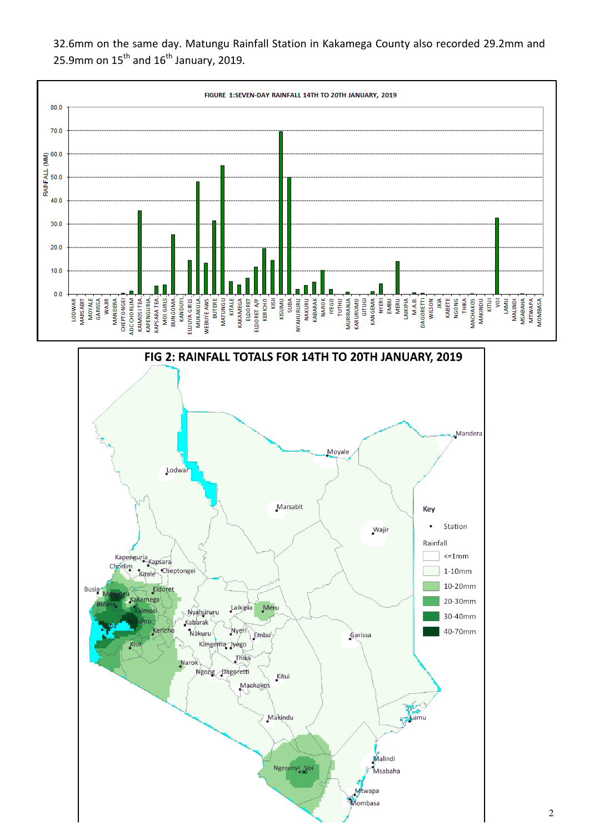



32.6mm on the same day. Matungu Rainfall Station in Kakamega County also recorded 29.2mm and 25.9mm on  $15^{\text{th}}$  and  $16^{\text{th}}$  January, 2019.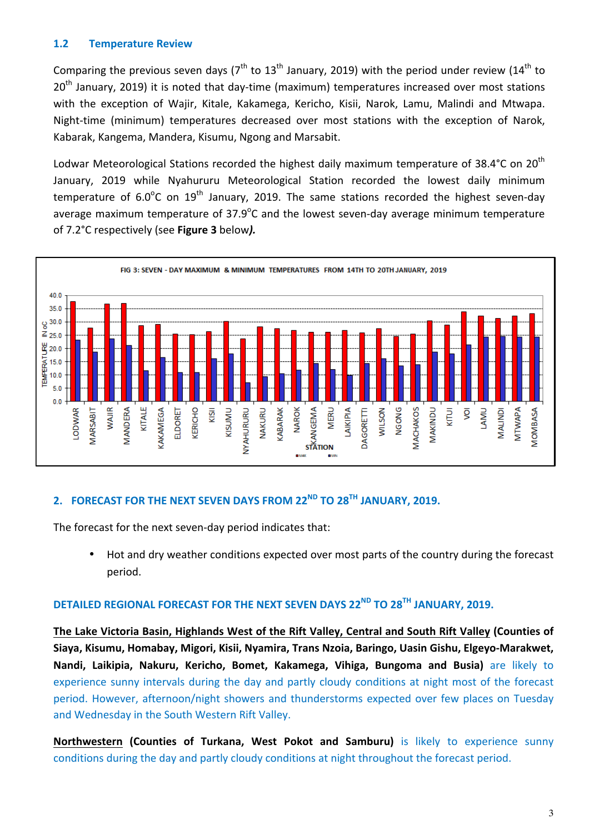#### **1.2 Temperature Review**

Comparing the previous seven days ( $7<sup>th</sup>$  to  $13<sup>th</sup>$  January, 2019) with the period under review (14<sup>th</sup> to  $20<sup>th</sup>$  January, 2019) it is noted that day-time (maximum) temperatures increased over most stations with the exception of Wajir, Kitale, Kakamega, Kericho, Kisii, Narok, Lamu, Malindi and Mtwapa. Night-time (minimum) temperatures decreased over most stations with the exception of Narok, Kabarak, Kangema, Mandera, Kisumu, Ngong and Marsabit.

Lodwar Meteorological Stations recorded the highest daily maximum temperature of 38.4°C on 20<sup>th</sup> January, 2019 while Nyahururu Meteorological Station recorded the lowest daily minimum temperature of 6.0<sup>o</sup>C on 19<sup>th</sup> January, 2019. The same stations recorded the highest seven-day average maximum temperature of 37.9 $^{\circ}$ C and the lowest seven-day average minimum temperature of 7.2°C respectively (see **Figure 3** below*).*



# **2. FORECAST FOR THE NEXT SEVEN DAYS FROM 22ND TO 28TH JANUARY, 2019.**

The forecast for the next seven-day period indicates that:

Hot and dry weather conditions expected over most parts of the country during the forecast period.

# **DETAILED REGIONAL FORECAST FOR THE NEXT SEVEN DAYS 22ND TO 28TH JANUARY, 2019.**

The Lake Victoria Basin, Highlands West of the Rift Valley, Central and South Rift Valley (Counties of Siaya, Kisumu, Homabay, Migori, Kisii, Nyamira, Trans Nzoia, Baringo, Uasin Gishu, Elgeyo-Marakwet, Nandi, Laikipia, Nakuru, Kericho, Bomet, Kakamega, Vihiga, Bungoma and Busia) are likely to experience sunny intervals during the day and partly cloudy conditions at night most of the forecast period. However, afternoon/night showers and thunderstorms expected over few places on Tuesday and Wednesday in the South Western Rift Valley.

**Northwestern (Counties of Turkana, West Pokot and Samburu)** is likely to experience sunny conditions during the day and partly cloudy conditions at night throughout the forecast period.